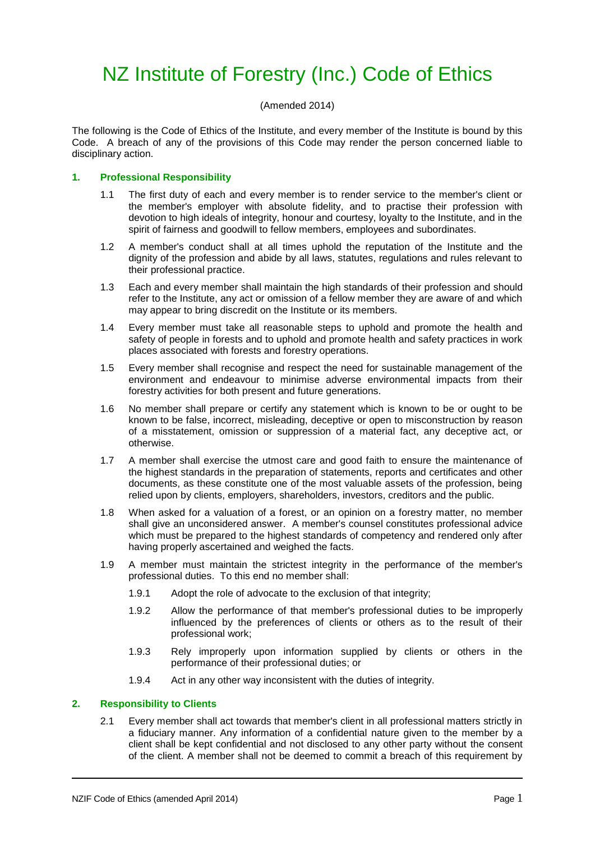# NZ Institute of Forestry (Inc.) Code of Ethics

# (Amended 2014)

The following is the Code of Ethics of the Institute, and every member of the Institute is bound by this Code. A breach of any of the provisions of this Code may render the person concerned liable to disciplinary action.

# **1. Professional Responsibility**

- 1.1 The first duty of each and every member is to render service to the member's client or the member's employer with absolute fidelity, and to practise their profession with devotion to high ideals of integrity, honour and courtesy, loyalty to the Institute, and in the spirit of fairness and goodwill to fellow members, employees and subordinates.
- 1.2 A member's conduct shall at all times uphold the reputation of the Institute and the dignity of the profession and abide by all laws, statutes, regulations and rules relevant to their professional practice.
- 1.3 Each and every member shall maintain the high standards of their profession and should refer to the Institute, any act or omission of a fellow member they are aware of and which may appear to bring discredit on the Institute or its members.
- 1.4 Every member must take all reasonable steps to uphold and promote the health and safety of people in forests and to uphold and promote health and safety practices in work places associated with forests and forestry operations.
- 1.5 Every member shall recognise and respect the need for sustainable management of the environment and endeavour to minimise adverse environmental impacts from their forestry activities for both present and future generations.
- 1.6 No member shall prepare or certify any statement which is known to be or ought to be known to be false, incorrect, misleading, deceptive or open to misconstruction by reason of a misstatement, omission or suppression of a material fact, any deceptive act, or otherwise.
- 1.7 A member shall exercise the utmost care and good faith to ensure the maintenance of the highest standards in the preparation of statements, reports and certificates and other documents, as these constitute one of the most valuable assets of the profession, being relied upon by clients, employers, shareholders, investors, creditors and the public.
- 1.8 When asked for a valuation of a forest, or an opinion on a forestry matter, no member shall give an unconsidered answer. A member's counsel constitutes professional advice which must be prepared to the highest standards of competency and rendered only after having properly ascertained and weighed the facts.
- 1.9 A member must maintain the strictest integrity in the performance of the member's professional duties. To this end no member shall:
	- 1.9.1 Adopt the role of advocate to the exclusion of that integrity;
	- 1.9.2 Allow the performance of that member's professional duties to be improperly influenced by the preferences of clients or others as to the result of their professional work;
	- 1.9.3 Rely improperly upon information supplied by clients or others in the performance of their professional duties; or
	- 1.9.4 Act in any other way inconsistent with the duties of integrity.

# **2. Responsibility to Clients**

2.1 Every member shall act towards that member's client in all professional matters strictly in a fiduciary manner. Any information of a confidential nature given to the member by a client shall be kept confidential and not disclosed to any other party without the consent of the client. A member shall not be deemed to commit a breach of this requirement by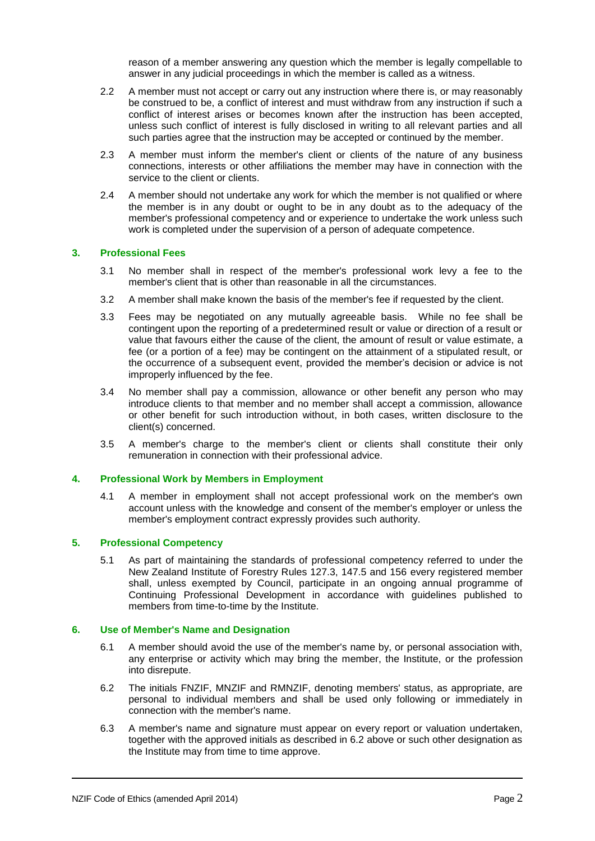reason of a member answering any question which the member is legally compellable to answer in any judicial proceedings in which the member is called as a witness.

- 2.2 A member must not accept or carry out any instruction where there is, or may reasonably be construed to be, a conflict of interest and must withdraw from any instruction if such a conflict of interest arises or becomes known after the instruction has been accepted, unless such conflict of interest is fully disclosed in writing to all relevant parties and all such parties agree that the instruction may be accepted or continued by the member.
- 2.3 A member must inform the member's client or clients of the nature of any business connections, interests or other affiliations the member may have in connection with the service to the client or clients.
- 2.4 A member should not undertake any work for which the member is not qualified or where the member is in any doubt or ought to be in any doubt as to the adequacy of the member's professional competency and or experience to undertake the work unless such work is completed under the supervision of a person of adequate competence.

### **3. Professional Fees**

- 3.1 No member shall in respect of the member's professional work levy a fee to the member's client that is other than reasonable in all the circumstances.
- 3.2 A member shall make known the basis of the member's fee if requested by the client.
- 3.3 Fees may be negotiated on any mutually agreeable basis. While no fee shall be contingent upon the reporting of a predetermined result or value or direction of a result or value that favours either the cause of the client, the amount of result or value estimate, a fee (or a portion of a fee) may be contingent on the attainment of a stipulated result, or the occurrence of a subsequent event, provided the member's decision or advice is not improperly influenced by the fee.
- 3.4 No member shall pay a commission, allowance or other benefit any person who may introduce clients to that member and no member shall accept a commission, allowance or other benefit for such introduction without, in both cases, written disclosure to the client(s) concerned.
- 3.5 A member's charge to the member's client or clients shall constitute their only remuneration in connection with their professional advice.

#### **4. Professional Work by Members in Employment**

4.1 A member in employment shall not accept professional work on the member's own account unless with the knowledge and consent of the member's employer or unless the member's employment contract expressly provides such authority.

## **5. Professional Competency**

5.1 As part of maintaining the standards of professional competency referred to under the New Zealand Institute of Forestry Rules 127.3, 147.5 and 156 every registered member shall, unless exempted by Council, participate in an ongoing annual programme of Continuing Professional Development in accordance with guidelines published to members from time-to-time by the Institute.

#### **6. Use of Member's Name and Designation**

- 6.1 A member should avoid the use of the member's name by, or personal association with, any enterprise or activity which may bring the member, the Institute, or the profession into disrepute.
- 6.2 The initials FNZIF, MNZIF and RMNZIF, denoting members' status, as appropriate, are personal to individual members and shall be used only following or immediately in connection with the member's name.
- 6.3 A member's name and signature must appear on every report or valuation undertaken, together with the approved initials as described in 6.2 above or such other designation as the Institute may from time to time approve.